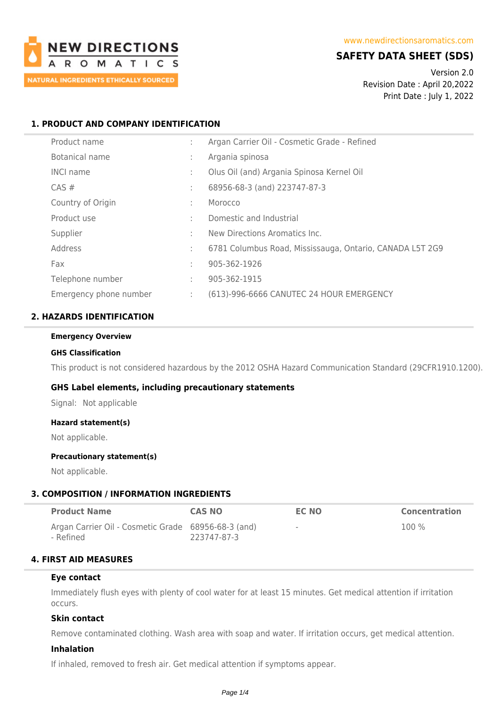

## **SAFETY DATA SHEET (SDS)**

Version 2.0 Revision Date : April 20,2022 Print Date : July 1, 2022

## **1. PRODUCT AND COMPANY IDENTIFICATION**

| Product name           | ÷ | Argan Carrier Oil - Cosmetic Grade - Refined             |
|------------------------|---|----------------------------------------------------------|
| Botanical name         | ÷ | Argania spinosa                                          |
| <b>INCI name</b>       | t | Olus Oil (and) Argania Spinosa Kernel Oil                |
| $CAS \#$               | t | 68956-68-3 (and) 223747-87-3                             |
| Country of Origin      | ÷ | Morocco                                                  |
| Product use            | t | Domestic and Industrial                                  |
| Supplier               | t | New Directions Aromatics Inc.                            |
| Address                | ÷ | 6781 Columbus Road, Mississauga, Ontario, CANADA L5T 2G9 |
| Fax                    | ÷ | 905-362-1926                                             |
| Telephone number       | ÷ | 905-362-1915                                             |
| Emergency phone number | ÷ | (613)-996-6666 CANUTEC 24 HOUR EMERGENCY                 |

## **2. HAZARDS IDENTIFICATION**

#### **Emergency Overview**

#### **GHS Classification**

This product is not considered hazardous by the 2012 OSHA Hazard Communication Standard (29CFR1910.1200).

#### **GHS Label elements, including precautionary statements**

Signal: Not applicable

#### **Hazard statement(s)**

Not applicable.

#### **Precautionary statement(s)**

Not applicable.

#### **3. COMPOSITION / INFORMATION INGREDIENTS**

| <b>Product Name</b>                                 | <b>CAS NO</b> | EC NO                    | <b>Concentration</b> |
|-----------------------------------------------------|---------------|--------------------------|----------------------|
| Argan Carrier Oil - Cosmetic Grade 68956-68-3 (and) |               | $\overline{\phantom{a}}$ | 100 %                |
| - Refined                                           | 223747-87-3   |                          |                      |

## **4. FIRST AID MEASURES**

#### **Eye contact**

Immediately flush eyes with plenty of cool water for at least 15 minutes. Get medical attention if irritation occurs.

#### **Skin contact**

Remove contaminated clothing. Wash area with soap and water. If irritation occurs, get medical attention.

### **Inhalation**

If inhaled, removed to fresh air. Get medical attention if symptoms appear.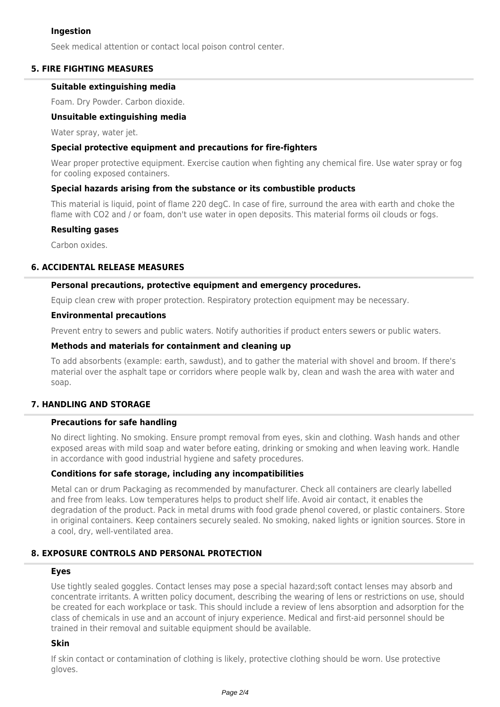### **Ingestion**

Seek medical attention or contact local poison control center.

### **5. FIRE FIGHTING MEASURES**

#### **Suitable extinguishing media**

Foam. Dry Powder. Carbon dioxide.

#### **Unsuitable extinguishing media**

Water spray, water jet.

#### **Special protective equipment and precautions for fire-fighters**

Wear proper protective equipment. Exercise caution when fighting any chemical fire. Use water spray or fog for cooling exposed containers.

#### **Special hazards arising from the substance or its combustible products**

This material is liquid, point of flame 220 degC. In case of fire, surround the area with earth and choke the flame with CO2 and / or foam, don't use water in open deposits. This material forms oil clouds or fogs.

#### **Resulting gases**

Carbon oxides.

#### **6. ACCIDENTAL RELEASE MEASURES**

#### **Personal precautions, protective equipment and emergency procedures.**

Equip clean crew with proper protection. Respiratory protection equipment may be necessary.

#### **Environmental precautions**

Prevent entry to sewers and public waters. Notify authorities if product enters sewers or public waters.

#### **Methods and materials for containment and cleaning up**

To add absorbents (example: earth, sawdust), and to gather the material with shovel and broom. If there's material over the asphalt tape or corridors where people walk by, clean and wash the area with water and soap.

### **7. HANDLING AND STORAGE**

#### **Precautions for safe handling**

No direct lighting. No smoking. Ensure prompt removal from eyes, skin and clothing. Wash hands and other exposed areas with mild soap and water before eating, drinking or smoking and when leaving work. Handle in accordance with good industrial hygiene and safety procedures.

#### **Conditions for safe storage, including any incompatibilities**

Metal can or drum Packaging as recommended by manufacturer. Check all containers are clearly labelled and free from leaks. Low temperatures helps to product shelf life. Avoid air contact, it enables the degradation of the product. Pack in metal drums with food grade phenol covered, or plastic containers. Store in original containers. Keep containers securely sealed. No smoking, naked lights or ignition sources. Store in a cool, dry, well-ventilated area.

### **8. EXPOSURE CONTROLS AND PERSONAL PROTECTION**

#### **Eyes**

Use tightly sealed goggles. Contact lenses may pose a special hazard;soft contact lenses may absorb and concentrate irritants. A written policy document, describing the wearing of lens or restrictions on use, should be created for each workplace or task. This should include a review of lens absorption and adsorption for the class of chemicals in use and an account of injury experience. Medical and first-aid personnel should be trained in their removal and suitable equipment should be available.

#### **Skin**

If skin contact or contamination of clothing is likely, protective clothing should be worn. Use protective gloves.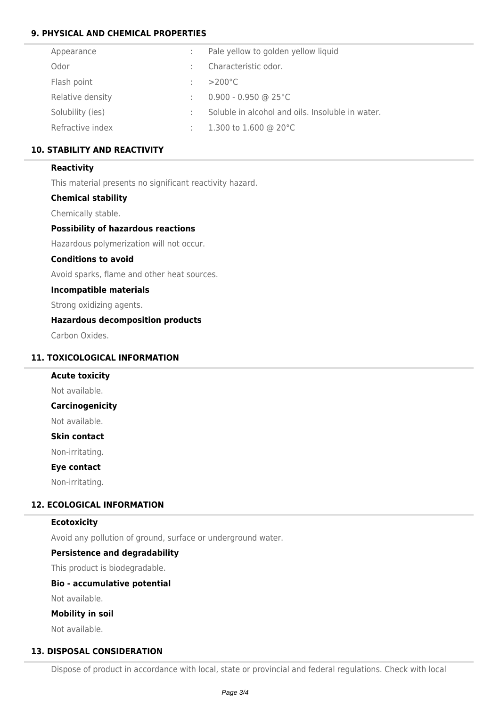## **9. PHYSICAL AND CHEMICAL PROPERTIES**

| Appearance       |   | Pale yellow to golden yellow liquid              |
|------------------|---|--------------------------------------------------|
| Odor             |   | Characteristic odor.                             |
| Flash point      | ÷ | $>200^{\circ}$ C                                 |
| Relative density | ÷ | $0.900 - 0.950$ @ 25°C                           |
| Solubility (ies) |   | Soluble in alcohol and oils. Insoluble in water. |
| Refractive index | ÷ | 1.300 to 1.600 @ 20 $^{\circ}$ C                 |

## **10. STABILITY AND REACTIVITY**

### **Reactivity**

This material presents no significant reactivity hazard.

#### **Chemical stability**

Chemically stable.

### **Possibility of hazardous reactions**

Hazardous polymerization will not occur.

#### **Conditions to avoid**

Avoid sparks, flame and other heat sources.

#### **Incompatible materials**

Strong oxidizing agents.

### **Hazardous decomposition products**

Carbon Oxides.

## **11. TOXICOLOGICAL INFORMATION**

# **Acute toxicity**

Not available.

## **Carcinogenicity**

Not available.

## **Skin contact**

Non-irritating.

## **Eye contact**

Non-irritating.

## **12. ECOLOGICAL INFORMATION**

#### **Ecotoxicity**

Avoid any pollution of ground, surface or underground water.

#### **Persistence and degradability**

This product is biodegradable.

#### **Bio - accumulative potential**

Not available.

### **Mobility in soil**

Not available.

### **13. DISPOSAL CONSIDERATION**

Dispose of product in accordance with local, state or provincial and federal regulations. Check with local